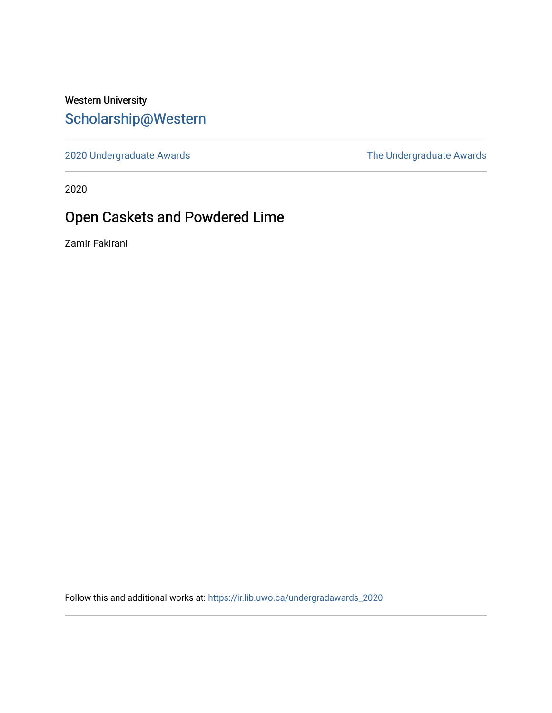# Western University [Scholarship@Western](https://ir.lib.uwo.ca/)

[2020 Undergraduate Awards](https://ir.lib.uwo.ca/undergradawards_2020) [The Undergraduate Awards](https://ir.lib.uwo.ca/ungradawards) 

2020

# Open Caskets and Powdered Lime

Zamir Fakirani

Follow this and additional works at: [https://ir.lib.uwo.ca/undergradawards\\_2020](https://ir.lib.uwo.ca/undergradawards_2020?utm_source=ir.lib.uwo.ca%2Fundergradawards_2020%2F8&utm_medium=PDF&utm_campaign=PDFCoverPages)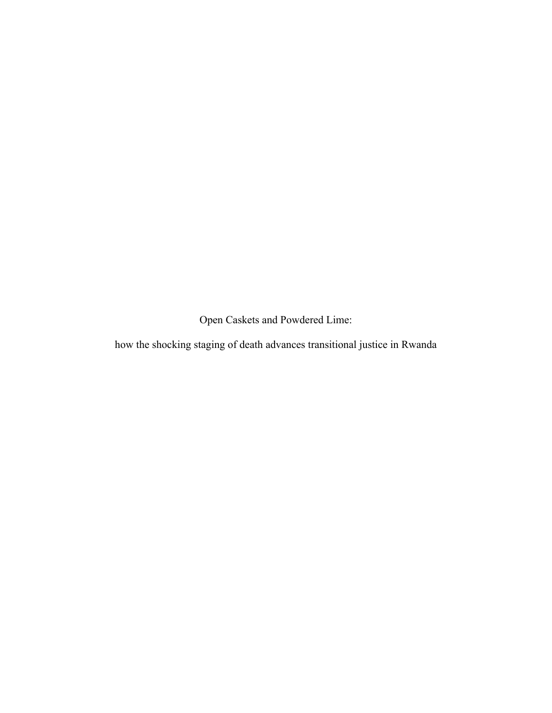Open Caskets and Powdered Lime:

how the shocking staging of death advances transitional justice in Rwanda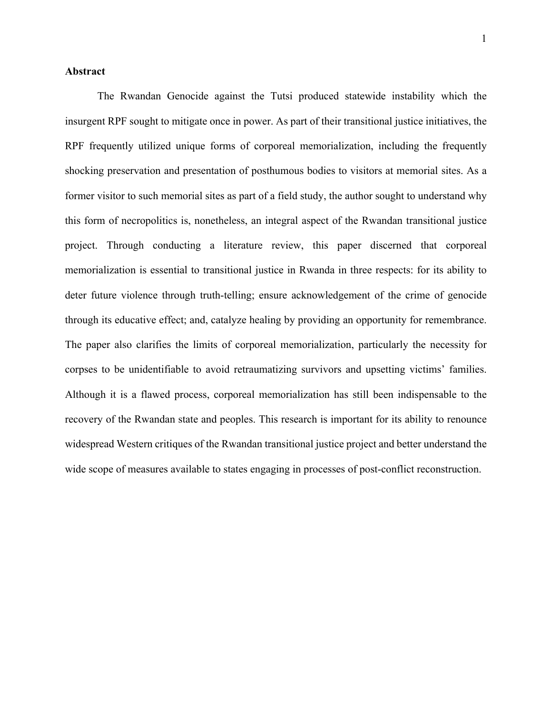### **Abstract**

The Rwandan Genocide against the Tutsi produced statewide instability which the insurgent RPF sought to mitigate once in power. As part of their transitional justice initiatives, the RPF frequently utilized unique forms of corporeal memorialization, including the frequently shocking preservation and presentation of posthumous bodies to visitors at memorial sites. As a former visitor to such memorial sites as part of a field study, the author sought to understand why this form of necropolitics is, nonetheless, an integral aspect of the Rwandan transitional justice project. Through conducting a literature review, this paper discerned that corporeal memorialization is essential to transitional justice in Rwanda in three respects: for its ability to deter future violence through truth-telling; ensure acknowledgement of the crime of genocide through its educative effect; and, catalyze healing by providing an opportunity for remembrance. The paper also clarifies the limits of corporeal memorialization, particularly the necessity for corpses to be unidentifiable to avoid retraumatizing survivors and upsetting victims' families. Although it is a flawed process, corporeal memorialization has still been indispensable to the recovery of the Rwandan state and peoples. This research is important for its ability to renounce widespread Western critiques of the Rwandan transitional justice project and better understand the wide scope of measures available to states engaging in processes of post-conflict reconstruction.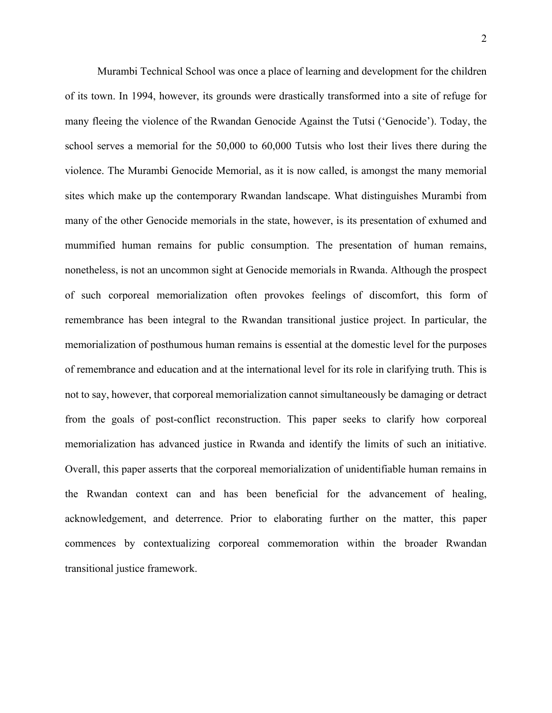Murambi Technical School was once a place of learning and development for the children of its town. In 1994, however, its grounds were drastically transformed into a site of refuge for many fleeing the violence of the Rwandan Genocide Against the Tutsi ('Genocide'). Today, the school serves a memorial for the 50,000 to 60,000 Tutsis who lost their lives there during the violence. The Murambi Genocide Memorial, as it is now called, is amongst the many memorial sites which make up the contemporary Rwandan landscape. What distinguishes Murambi from many of the other Genocide memorials in the state, however, is its presentation of exhumed and mummified human remains for public consumption. The presentation of human remains, nonetheless, is not an uncommon sight at Genocide memorials in Rwanda. Although the prospect of such corporeal memorialization often provokes feelings of discomfort, this form of remembrance has been integral to the Rwandan transitional justice project. In particular, the memorialization of posthumous human remains is essential at the domestic level for the purposes of remembrance and education and at the international level for its role in clarifying truth. This is not to say, however, that corporeal memorialization cannot simultaneously be damaging or detract from the goals of post-conflict reconstruction. This paper seeks to clarify how corporeal memorialization has advanced justice in Rwanda and identify the limits of such an initiative. Overall, this paper asserts that the corporeal memorialization of unidentifiable human remains in the Rwandan context can and has been beneficial for the advancement of healing, acknowledgement, and deterrence. Prior to elaborating further on the matter, this paper commences by contextualizing corporeal commemoration within the broader Rwandan transitional justice framework.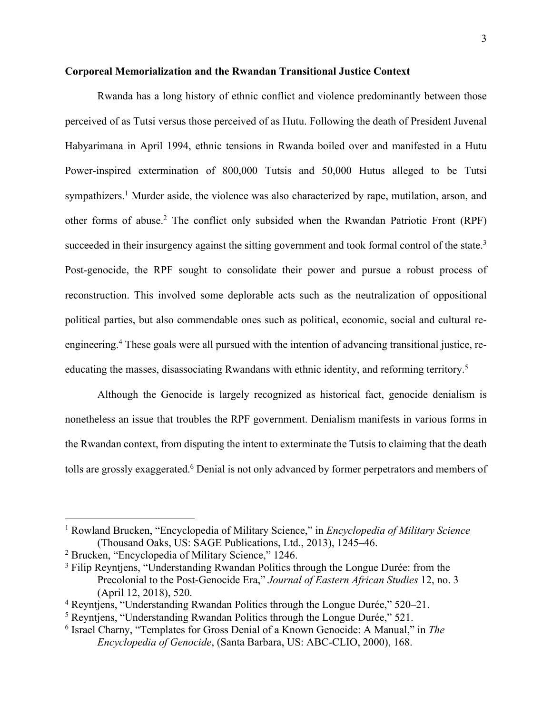#### **Corporeal Memorialization and the Rwandan Transitional Justice Context**

Rwanda has a long history of ethnic conflict and violence predominantly between those perceived of as Tutsi versus those perceived of as Hutu. Following the death of President Juvenal Habyarimana in April 1994, ethnic tensions in Rwanda boiled over and manifested in a Hutu Power-inspired extermination of 800,000 Tutsis and 50,000 Hutus alleged to be Tutsi sympathizers.<sup>1</sup> Murder aside, the violence was also characterized by rape, mutilation, arson, and other forms of abuse.2 The conflict only subsided when the Rwandan Patriotic Front (RPF) succeeded in their insurgency against the sitting government and took formal control of the state.<sup>3</sup> Post-genocide, the RPF sought to consolidate their power and pursue a robust process of reconstruction. This involved some deplorable acts such as the neutralization of oppositional political parties, but also commendable ones such as political, economic, social and cultural reengineering.4 These goals were all pursued with the intention of advancing transitional justice, reeducating the masses, disassociating Rwandans with ethnic identity, and reforming territory.<sup>5</sup>

Although the Genocide is largely recognized as historical fact, genocide denialism is nonetheless an issue that troubles the RPF government. Denialism manifests in various forms in the Rwandan context, from disputing the intent to exterminate the Tutsis to claiming that the death tolls are grossly exaggerated.<sup>6</sup> Denial is not only advanced by former perpetrators and members of

<sup>1</sup> Rowland Brucken, "Encyclopedia of Military Science," in *Encyclopedia of Military Science* (Thousand Oaks, US: SAGE Publications, Ltd., 2013), 1245–46.

<sup>2</sup> Brucken, "Encyclopedia of Military Science," 1246.

<sup>&</sup>lt;sup>3</sup> Filip Reyntjens, "Understanding Rwandan Politics through the Longue Durée: from the Precolonial to the Post-Genocide Era," *Journal of Eastern African Studies* 12, no. 3 (April 12, 2018), 520.

<sup>4</sup> Reyntjens, "Understanding Rwandan Politics through the Longue Durée," 520–21.

<sup>5</sup> Reyntjens, "Understanding Rwandan Politics through the Longue Durée," 521.

<sup>6</sup> Israel Charny, "Templates for Gross Denial of a Known Genocide: A Manual," in *The Encyclopedia of Genocide*, (Santa Barbara, US: ABC-CLIO, 2000), 168.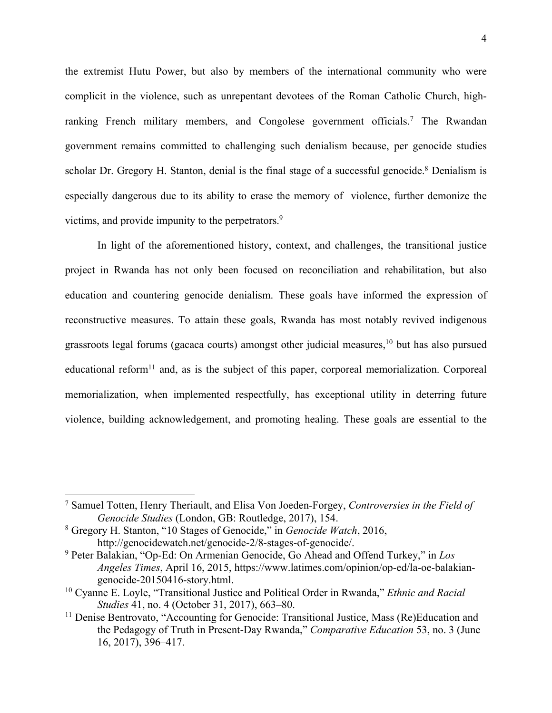the extremist Hutu Power, but also by members of the international community who were complicit in the violence, such as unrepentant devotees of the Roman Catholic Church, highranking French military members, and Congolese government officials.<sup>7</sup> The Rwandan government remains committed to challenging such denialism because, per genocide studies scholar Dr. Gregory H. Stanton, denial is the final stage of a successful genocide.<sup>8</sup> Denialism is especially dangerous due to its ability to erase the memory of violence, further demonize the victims, and provide impunity to the perpetrators.<sup>9</sup>

In light of the aforementioned history, context, and challenges, the transitional justice project in Rwanda has not only been focused on reconciliation and rehabilitation, but also education and countering genocide denialism. These goals have informed the expression of reconstructive measures. To attain these goals, Rwanda has most notably revived indigenous grassroots legal forums (gacaca courts) amongst other judicial measures,10 but has also pursued educational reform<sup>11</sup> and, as is the subject of this paper, corporeal memorialization. Corporeal memorialization, when implemented respectfully, has exceptional utility in deterring future violence, building acknowledgement, and promoting healing. These goals are essential to the

<sup>7</sup> Samuel Totten, Henry Theriault, and Elisa Von Joeden-Forgey, *Controversies in the Field of Genocide Studies* (London, GB: Routledge, 2017), 154.

<sup>8</sup> Gregory H. Stanton, "10 Stages of Genocide," in *Genocide Watch*, 2016, http://genocidewatch.net/genocide-2/8-stages-of-genocide/.

<sup>9</sup> Peter Balakian, "Op-Ed: On Armenian Genocide, Go Ahead and Offend Turkey," in *Los Angeles Times*, April 16, 2015, https://www.latimes.com/opinion/op-ed/la-oe-balakiangenocide-20150416-story.html.

<sup>10</sup> Cyanne E. Loyle, "Transitional Justice and Political Order in Rwanda," *Ethnic and Racial Studies* 41, no. 4 (October 31, 2017), 663–80.

<sup>&</sup>lt;sup>11</sup> Denise Bentrovato, "Accounting for Genocide: Transitional Justice, Mass (Re)Education and the Pedagogy of Truth in Present-Day Rwanda," *Comparative Education* 53, no. 3 (June 16, 2017), 396–417.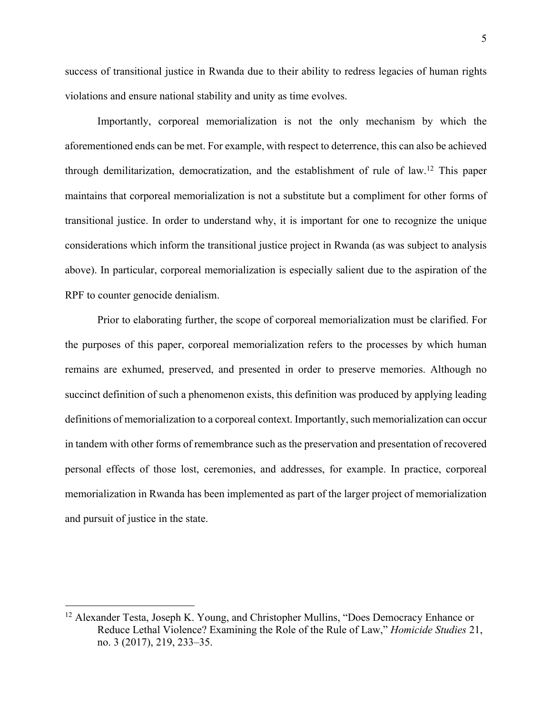success of transitional justice in Rwanda due to their ability to redress legacies of human rights violations and ensure national stability and unity as time evolves.

Importantly, corporeal memorialization is not the only mechanism by which the aforementioned ends can be met. For example, with respect to deterrence, this can also be achieved through demilitarization, democratization, and the establishment of rule of law.<sup>12</sup> This paper maintains that corporeal memorialization is not a substitute but a compliment for other forms of transitional justice. In order to understand why, it is important for one to recognize the unique considerations which inform the transitional justice project in Rwanda (as was subject to analysis above). In particular, corporeal memorialization is especially salient due to the aspiration of the RPF to counter genocide denialism.

Prior to elaborating further, the scope of corporeal memorialization must be clarified. For the purposes of this paper, corporeal memorialization refers to the processes by which human remains are exhumed, preserved, and presented in order to preserve memories. Although no succinct definition of such a phenomenon exists, this definition was produced by applying leading definitions of memorialization to a corporeal context. Importantly, such memorialization can occur in tandem with other forms of remembrance such as the preservation and presentation of recovered personal effects of those lost, ceremonies, and addresses, for example. In practice, corporeal memorialization in Rwanda has been implemented as part of the larger project of memorialization and pursuit of justice in the state.

<sup>&</sup>lt;sup>12</sup> Alexander Testa, Joseph K. Young, and Christopher Mullins, "Does Democracy Enhance or Reduce Lethal Violence? Examining the Role of the Rule of Law," *Homicide Studies* 21, no. 3 (2017), 219, 233–35.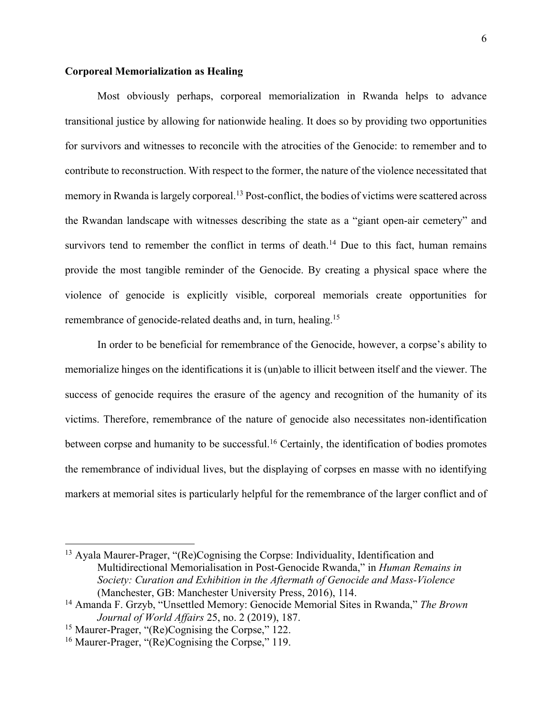### **Corporeal Memorialization as Healing**

Most obviously perhaps, corporeal memorialization in Rwanda helps to advance transitional justice by allowing for nationwide healing. It does so by providing two opportunities for survivors and witnesses to reconcile with the atrocities of the Genocide: to remember and to contribute to reconstruction. With respect to the former, the nature of the violence necessitated that memory in Rwanda is largely corporeal.<sup>13</sup> Post-conflict, the bodies of victims were scattered across the Rwandan landscape with witnesses describing the state as a "giant open-air cemetery" and survivors tend to remember the conflict in terms of death.<sup>14</sup> Due to this fact, human remains provide the most tangible reminder of the Genocide. By creating a physical space where the violence of genocide is explicitly visible, corporeal memorials create opportunities for remembrance of genocide-related deaths and, in turn, healing.<sup>15</sup>

In order to be beneficial for remembrance of the Genocide, however, a corpse's ability to memorialize hinges on the identifications it is (un)able to illicit between itself and the viewer. The success of genocide requires the erasure of the agency and recognition of the humanity of its victims. Therefore, remembrance of the nature of genocide also necessitates non-identification between corpse and humanity to be successful.<sup>16</sup> Certainly, the identification of bodies promotes the remembrance of individual lives, but the displaying of corpses en masse with no identifying markers at memorial sites is particularly helpful for the remembrance of the larger conflict and of

<sup>13</sup> Ayala Maurer-Prager, "(Re)Cognising the Corpse: Individuality, Identification and Multidirectional Memorialisation in Post-Genocide Rwanda," in *Human Remains in Society: Curation and Exhibition in the Aftermath of Genocide and Mass-Violence* (Manchester, GB: Manchester University Press, 2016), 114.

<sup>14</sup> Amanda F. Grzyb, "Unsettled Memory: Genocide Memorial Sites in Rwanda," *The Brown Journal of World Affairs* 25, no. 2 (2019), 187.

<sup>&</sup>lt;sup>15</sup> Maurer-Prager, "(Re)Cognising the Corpse," 122.

<sup>&</sup>lt;sup>16</sup> Maurer-Prager, "(Re)Cognising the Corpse," 119.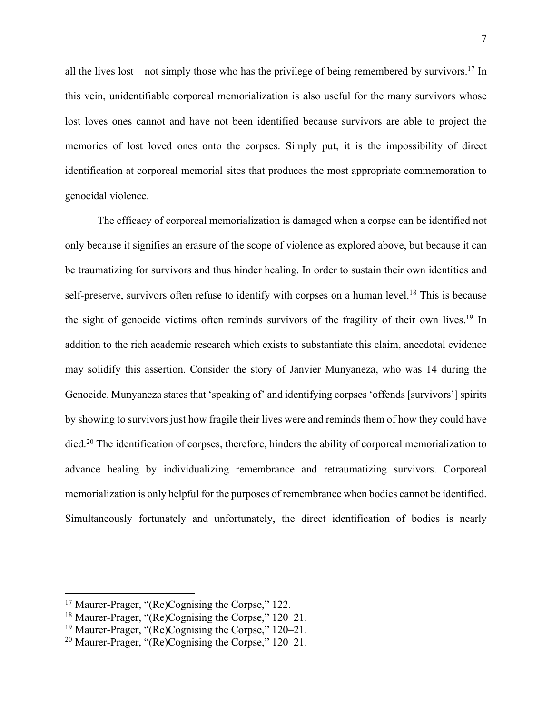all the lives lost – not simply those who has the privilege of being remembered by survivors. <sup>17</sup> In this vein, unidentifiable corporeal memorialization is also useful for the many survivors whose lost loves ones cannot and have not been identified because survivors are able to project the memories of lost loved ones onto the corpses. Simply put, it is the impossibility of direct identification at corporeal memorial sites that produces the most appropriate commemoration to genocidal violence.

The efficacy of corporeal memorialization is damaged when a corpse can be identified not only because it signifies an erasure of the scope of violence as explored above, but because it can be traumatizing for survivors and thus hinder healing. In order to sustain their own identities and self-preserve, survivors often refuse to identify with corpses on a human level.<sup>18</sup> This is because the sight of genocide victims often reminds survivors of the fragility of their own lives.19 In addition to the rich academic research which exists to substantiate this claim, anecdotal evidence may solidify this assertion. Consider the story of Janvier Munyaneza, who was 14 during the Genocide. Munyaneza states that 'speaking of' and identifying corpses 'offends [survivors'] spirits by showing to survivors just how fragile their lives were and reminds them of how they could have died.<sup>20</sup> The identification of corpses, therefore, hinders the ability of corporeal memorialization to advance healing by individualizing remembrance and retraumatizing survivors. Corporeal memorialization is only helpful for the purposes of remembrance when bodies cannot be identified. Simultaneously fortunately and unfortunately, the direct identification of bodies is nearly

<sup>&</sup>lt;sup>17</sup> Maurer-Prager, "(Re)Cognising the Corpse," 122.

<sup>&</sup>lt;sup>18</sup> Maurer-Prager, "(Re)Cognising the Corpse," 120–21.

<sup>19</sup> Maurer-Prager, "(Re)Cognising the Corpse," 120–21.

<sup>&</sup>lt;sup>20</sup> Maurer-Prager, " $(Re)$ Cognising the Corpse," 120–21.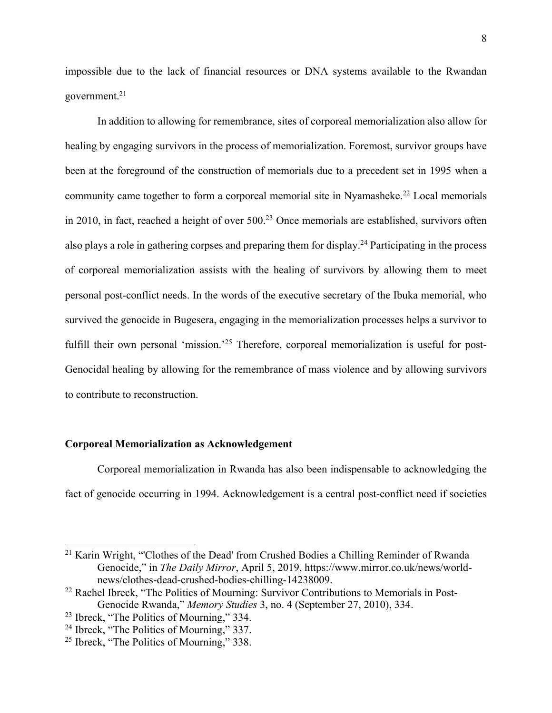impossible due to the lack of financial resources or DNA systems available to the Rwandan government.21

In addition to allowing for remembrance, sites of corporeal memorialization also allow for healing by engaging survivors in the process of memorialization. Foremost, survivor groups have been at the foreground of the construction of memorials due to a precedent set in 1995 when a community came together to form a corporeal memorial site in Nyamasheke.<sup>22</sup> Local memorials in 2010, in fact, reached a height of over 500.<sup>23</sup> Once memorials are established, survivors often also plays a role in gathering corpses and preparing them for display.24 Participating in the process of corporeal memorialization assists with the healing of survivors by allowing them to meet personal post-conflict needs. In the words of the executive secretary of the Ibuka memorial, who survived the genocide in Bugesera, engaging in the memorialization processes helps a survivor to fulfill their own personal 'mission.'<sup>25</sup> Therefore, corporeal memorialization is useful for post-Genocidal healing by allowing for the remembrance of mass violence and by allowing survivors to contribute to reconstruction.

## **Corporeal Memorialization as Acknowledgement**

Corporeal memorialization in Rwanda has also been indispensable to acknowledging the fact of genocide occurring in 1994. Acknowledgement is a central post-conflict need if societies

<sup>&</sup>lt;sup>21</sup> Karin Wright, "Clothes of the Dead' from Crushed Bodies a Chilling Reminder of Rwanda Genocide," in *The Daily Mirror*, April 5, 2019, https://www.mirror.co.uk/news/worldnews/clothes-dead-crushed-bodies-chilling-14238009.

<sup>&</sup>lt;sup>22</sup> Rachel Ibreck, "The Politics of Mourning: Survivor Contributions to Memorials in Post-Genocide Rwanda," *Memory Studies* 3, no. 4 (September 27, 2010), 334.

<sup>23</sup> Ibreck, "The Politics of Mourning," 334.

<sup>24</sup> Ibreck, "The Politics of Mourning," 337.

<sup>25</sup> Ibreck, "The Politics of Mourning," 338.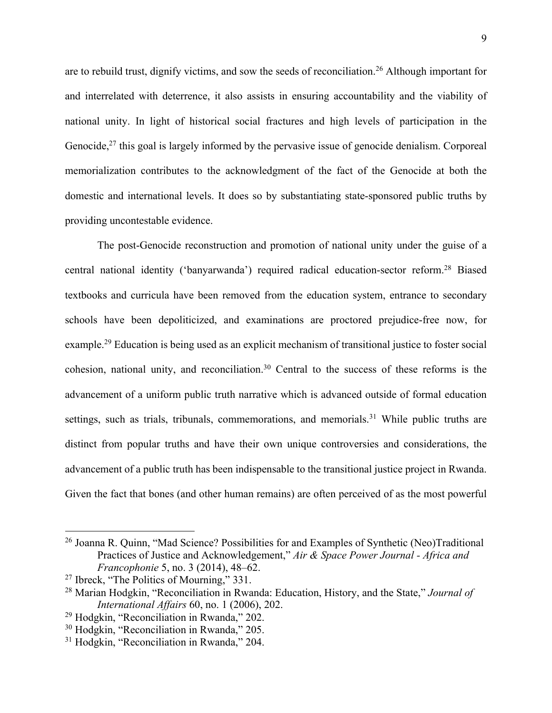are to rebuild trust, dignify victims, and sow the seeds of reconciliation.<sup>26</sup> Although important for and interrelated with deterrence, it also assists in ensuring accountability and the viability of national unity. In light of historical social fractures and high levels of participation in the Genocide, $2<sup>7</sup>$  this goal is largely informed by the pervasive issue of genocide denialism. Corporeal memorialization contributes to the acknowledgment of the fact of the Genocide at both the domestic and international levels. It does so by substantiating state-sponsored public truths by providing uncontestable evidence.

The post-Genocide reconstruction and promotion of national unity under the guise of a central national identity ('banyarwanda') required radical education-sector reform.28 Biased textbooks and curricula have been removed from the education system, entrance to secondary schools have been depoliticized, and examinations are proctored prejudice-free now, for example.29 Education is being used as an explicit mechanism of transitional justice to foster social cohesion, national unity, and reconciliation.30 Central to the success of these reforms is the advancement of a uniform public truth narrative which is advanced outside of formal education settings, such as trials, tribunals, commemorations, and memorials.<sup>31</sup> While public truths are distinct from popular truths and have their own unique controversies and considerations, the advancement of a public truth has been indispensable to the transitional justice project in Rwanda. Given the fact that bones (and other human remains) are often perceived of as the most powerful

<sup>26</sup> Joanna R. Quinn, "Mad Science? Possibilities for and Examples of Synthetic (Neo)Traditional Practices of Justice and Acknowledgement," *Air & Space Power Journal - Africa and Francophonie* 5, no. 3 (2014), 48–62.

<sup>&</sup>lt;sup>27</sup> Ibreck, "The Politics of Mourning," 331.

<sup>28</sup> Marian Hodgkin, "Reconciliation in Rwanda: Education, History, and the State," *Journal of International Affairs* 60, no. 1 (2006), 202.

<sup>29</sup> Hodgkin, "Reconciliation in Rwanda," 202.

<sup>30</sup> Hodgkin, "Reconciliation in Rwanda," 205.

<sup>&</sup>lt;sup>31</sup> Hodgkin, "Reconciliation in Rwanda," 204.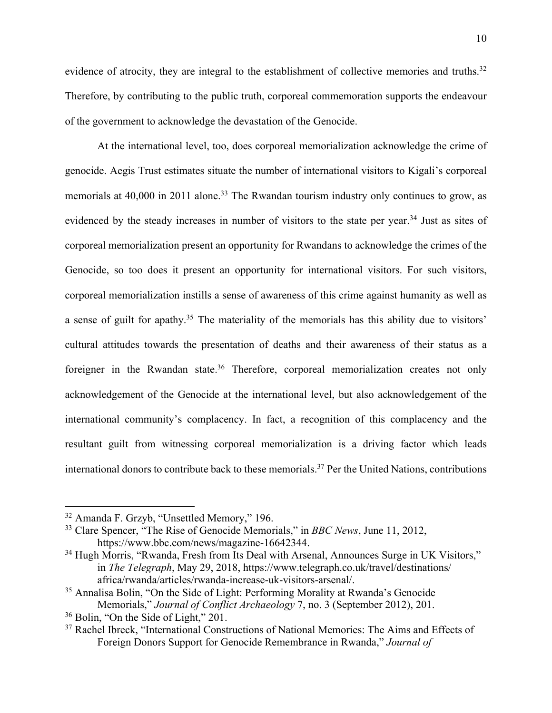evidence of atrocity, they are integral to the establishment of collective memories and truths.<sup>32</sup> Therefore, by contributing to the public truth, corporeal commemoration supports the endeavour of the government to acknowledge the devastation of the Genocide.

At the international level, too, does corporeal memorialization acknowledge the crime of genocide. Aegis Trust estimates situate the number of international visitors to Kigali's corporeal memorials at 40,000 in 2011 alone.<sup>33</sup> The Rwandan tourism industry only continues to grow, as evidenced by the steady increases in number of visitors to the state per year.<sup>34</sup> Just as sites of corporeal memorialization present an opportunity for Rwandans to acknowledge the crimes of the Genocide, so too does it present an opportunity for international visitors. For such visitors, corporeal memorialization instills a sense of awareness of this crime against humanity as well as a sense of guilt for apathy.<sup>35</sup> The materiality of the memorials has this ability due to visitors' cultural attitudes towards the presentation of deaths and their awareness of their status as a foreigner in the Rwandan state.<sup>36</sup> Therefore, corporeal memorialization creates not only acknowledgement of the Genocide at the international level, but also acknowledgement of the international community's complacency. In fact, a recognition of this complacency and the resultant guilt from witnessing corporeal memorialization is a driving factor which leads international donors to contribute back to these memorials.37 Per the United Nations, contributions

<sup>32</sup> Amanda F. Grzyb, "Unsettled Memory," 196.

<sup>33</sup> Clare Spencer, "The Rise of Genocide Memorials," in *BBC News*, June 11, 2012, https://www.bbc.com/news/magazine-16642344.

<sup>&</sup>lt;sup>34</sup> Hugh Morris, "Rwanda, Fresh from Its Deal with Arsenal, Announces Surge in UK Visitors," in *The Telegraph*, May 29, 2018, https://www.telegraph.co.uk/travel/destinations/ africa/rwanda/articles/rwanda-increase-uk-visitors-arsenal/.

<sup>35</sup> Annalisa Bolin, "On the Side of Light: Performing Morality at Rwanda's Genocide Memorials," *Journal of Conflict Archaeology* 7, no. 3 (September 2012), 201. 36 Bolin, "On the Side of Light," 201.

<sup>&</sup>lt;sup>37</sup> Rachel Ibreck, "International Constructions of National Memories: The Aims and Effects of Foreign Donors Support for Genocide Remembrance in Rwanda," *Journal of*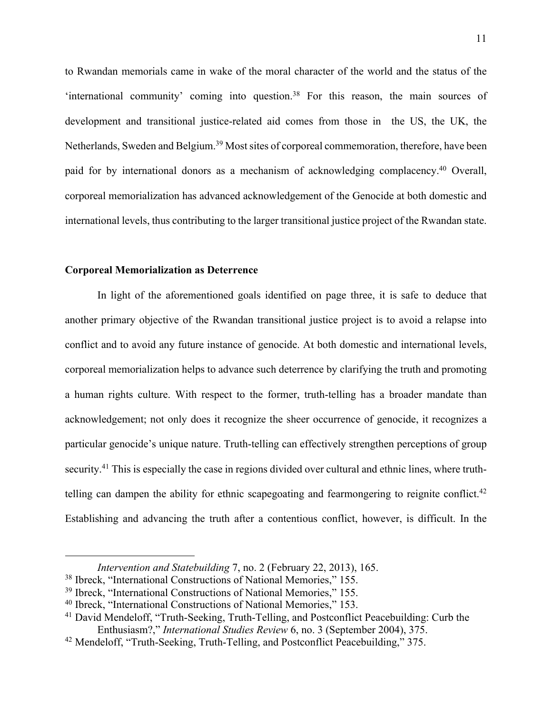to Rwandan memorials came in wake of the moral character of the world and the status of the 'international community' coming into question.38 For this reason, the main sources of development and transitional justice-related aid comes from those in the US, the UK, the Netherlands, Sweden and Belgium.<sup>39</sup> Most sites of corporeal commemoration, therefore, have been paid for by international donors as a mechanism of acknowledging complacency.<sup>40</sup> Overall, corporeal memorialization has advanced acknowledgement of the Genocide at both domestic and international levels, thus contributing to the larger transitional justice project of the Rwandan state.

#### **Corporeal Memorialization as Deterrence**

In light of the aforementioned goals identified on page three, it is safe to deduce that another primary objective of the Rwandan transitional justice project is to avoid a relapse into conflict and to avoid any future instance of genocide. At both domestic and international levels, corporeal memorialization helps to advance such deterrence by clarifying the truth and promoting a human rights culture. With respect to the former, truth-telling has a broader mandate than acknowledgement; not only does it recognize the sheer occurrence of genocide, it recognizes a particular genocide's unique nature. Truth-telling can effectively strengthen perceptions of group security.<sup>41</sup> This is especially the case in regions divided over cultural and ethnic lines, where truthtelling can dampen the ability for ethnic scapegoating and fearmongering to reignite conflict.<sup>42</sup> Establishing and advancing the truth after a contentious conflict, however, is difficult. In the

*Intervention and Statebuilding* 7, no. 2 (February 22, 2013), 165.<br><sup>38</sup> Ibreck, "International Constructions of National Memories," 155.

<sup>39</sup> Ibreck, "International Constructions of National Memories," 155.

<sup>40</sup> Ibreck, "International Constructions of National Memories," 153.

<sup>&</sup>lt;sup>41</sup> David Mendeloff, "Truth-Seeking, Truth-Telling, and Postconflict Peacebuilding: Curb the Enthusiasm?," *International Studies Review* 6, no. 3 (September 2004), 375.

<sup>&</sup>lt;sup>42</sup> Mendeloff, "Truth-Seeking, Truth-Telling, and Postconflict Peacebuilding," 375.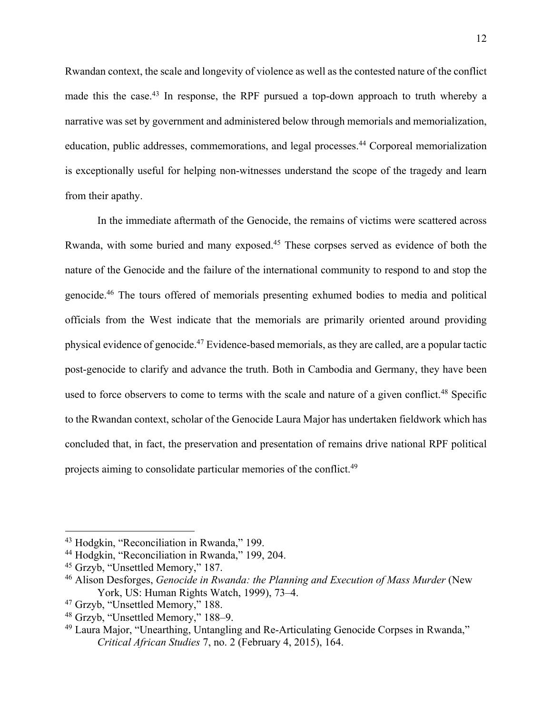Rwandan context, the scale and longevity of violence as well as the contested nature of the conflict made this the case.<sup>43</sup> In response, the RPF pursued a top-down approach to truth whereby a narrative was set by government and administered below through memorials and memorialization, education, public addresses, commemorations, and legal processes.<sup>44</sup> Corporeal memorialization is exceptionally useful for helping non-witnesses understand the scope of the tragedy and learn from their apathy.

In the immediate aftermath of the Genocide, the remains of victims were scattered across Rwanda, with some buried and many exposed.45 These corpses served as evidence of both the nature of the Genocide and the failure of the international community to respond to and stop the genocide.46 The tours offered of memorials presenting exhumed bodies to media and political officials from the West indicate that the memorials are primarily oriented around providing physical evidence of genocide.47 Evidence-based memorials, as they are called, are a popular tactic post-genocide to clarify and advance the truth. Both in Cambodia and Germany, they have been used to force observers to come to terms with the scale and nature of a given conflict.<sup>48</sup> Specific to the Rwandan context, scholar of the Genocide Laura Major has undertaken fieldwork which has concluded that, in fact, the preservation and presentation of remains drive national RPF political projects aiming to consolidate particular memories of the conflict.49

<sup>43</sup> Hodgkin, "Reconciliation in Rwanda," 199.

<sup>44</sup> Hodgkin, "Reconciliation in Rwanda," 199, 204.

<sup>45</sup> Grzyb, "Unsettled Memory," 187.

<sup>46</sup> Alison Desforges, *Genocide in Rwanda: the Planning and Execution of Mass Murder* (New York, US: Human Rights Watch, 1999), 73–4.

<sup>47</sup> Grzyb, "Unsettled Memory," 188.

<sup>48</sup> Grzyb, "Unsettled Memory," 188–9.

<sup>49</sup> Laura Major, "Unearthing, Untangling and Re-Articulating Genocide Corpses in Rwanda," *Critical African Studies* 7, no. 2 (February 4, 2015), 164.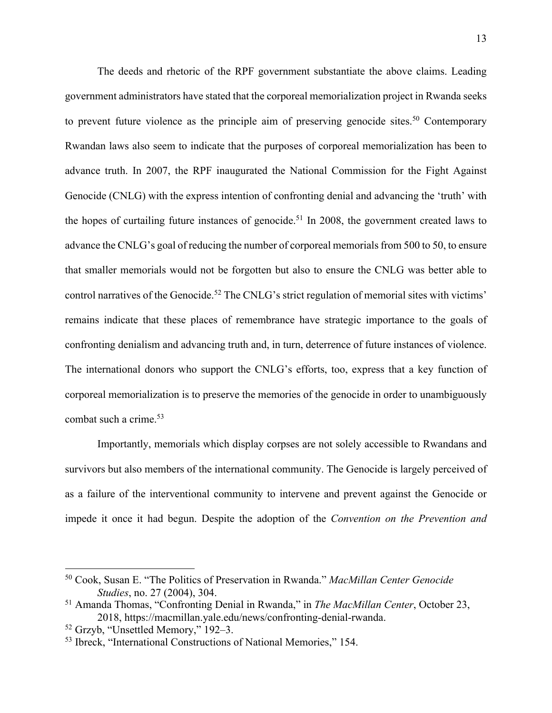The deeds and rhetoric of the RPF government substantiate the above claims. Leading government administrators have stated that the corporeal memorialization project in Rwanda seeks to prevent future violence as the principle aim of preserving genocide sites.<sup>50</sup> Contemporary Rwandan laws also seem to indicate that the purposes of corporeal memorialization has been to advance truth. In 2007, the RPF inaugurated the National Commission for the Fight Against Genocide (CNLG) with the express intention of confronting denial and advancing the 'truth' with the hopes of curtailing future instances of genocide.<sup>51</sup> In 2008, the government created laws to advance the CNLG's goal of reducing the number of corporeal memorials from 500 to 50, to ensure that smaller memorials would not be forgotten but also to ensure the CNLG was better able to control narratives of the Genocide.<sup>52</sup> The CNLG's strict regulation of memorial sites with victims' remains indicate that these places of remembrance have strategic importance to the goals of confronting denialism and advancing truth and, in turn, deterrence of future instances of violence. The international donors who support the CNLG's efforts, too, express that a key function of corporeal memorialization is to preserve the memories of the genocide in order to unambiguously combat such a crime.53

Importantly, memorials which display corpses are not solely accessible to Rwandans and survivors but also members of the international community. The Genocide is largely perceived of as a failure of the interventional community to intervene and prevent against the Genocide or impede it once it had begun. Despite the adoption of the *Convention on the Prevention and* 

<sup>50</sup> Cook, Susan E. "The Politics of Preservation in Rwanda." *MacMillan Center Genocide Studies*, no. 27 (2004), 304.

<sup>51</sup> Amanda Thomas, "Confronting Denial in Rwanda," in *The MacMillan Center*, October 23, 2018, https://macmillan.yale.edu/news/confronting-denial-rwanda.

<sup>52</sup> Grzyb, "Unsettled Memory," 192–3.

<sup>53</sup> Ibreck, "International Constructions of National Memories," 154.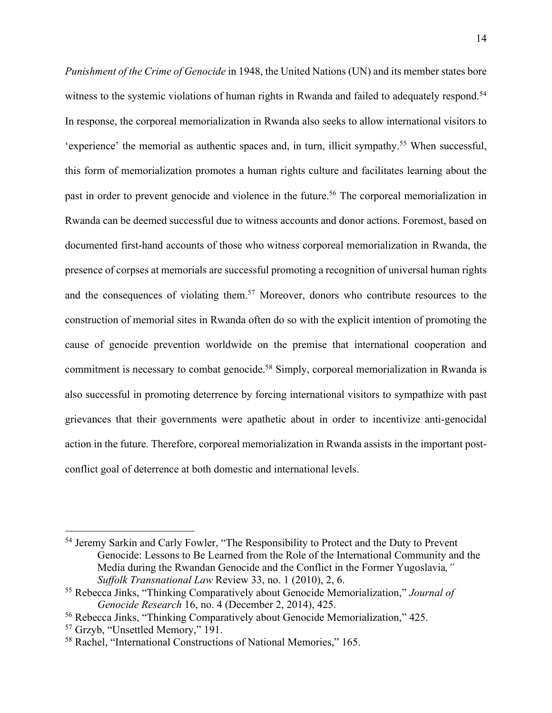*Punishment of the Crime of Genocide* in 1948, the United Nations (UN) and its member states bore witness to the systemic violations of human rights in Rwanda and failed to adequately respond.<sup>54</sup> In response, the corporeal memorialization in Rwanda also seeks to allow international visitors to 'experience' the memorial as authentic spaces and, in turn, illicit sympathy. <sup>55</sup> When successful, this form of memorialization promotes a human rights culture and facilitates learning about the past in order to prevent genocide and violence in the future.<sup>56</sup> The corporeal memorialization in Rwanda can be deemed successful due to witness accounts and donor actions. Foremost, based on documented first-hand accounts of those who witness corporeal memorialization in Rwanda, the presence of corpses at memorials are successful promoting a recognition of universal human rights and the consequences of violating them.<sup>57</sup> Moreover, donors who contribute resources to the construction of memorial sites in Rwanda often do so with the explicit intention of promoting the cause of genocide prevention worldwide on the premise that international cooperation and commitment is necessary to combat genocide.<sup>58</sup> Simply, corporeal memorialization in Rwanda is also successful in promoting deterrence by forcing international visitors to sympathize with past grievances that their governments were apathetic about in order to incentivize anti-genocidal action in the future. Therefore, corporeal memorialization in Rwanda assists in the important postconflict goal of deterrence at both domestic and international levels.

<sup>54</sup> Jeremy Sarkin and Carly Fowler, "The Responsibility to Protect and the Duty to Prevent Genocide: Lessons to Be Learned from the Role of the International Community and the Media during the Rwandan Genocide and the Conflict in the Former Yugoslavia*," Suffolk Transnational Law* Review 33, no. 1 (2010), 2, 6.

<sup>55</sup> Rebecca Jinks, "Thinking Comparatively about Genocide Memorialization," *Journal of Genocide Research* 16, no. 4 (December 2, 2014), 425.

<sup>&</sup>lt;sup>56</sup> Rebecca Jinks, "Thinking Comparatively about Genocide Memorialization," 425.<br><sup>57</sup> Grzyb, "Unsettled Memory," 191.

<sup>58</sup> Rachel, "International Constructions of National Memories," 165.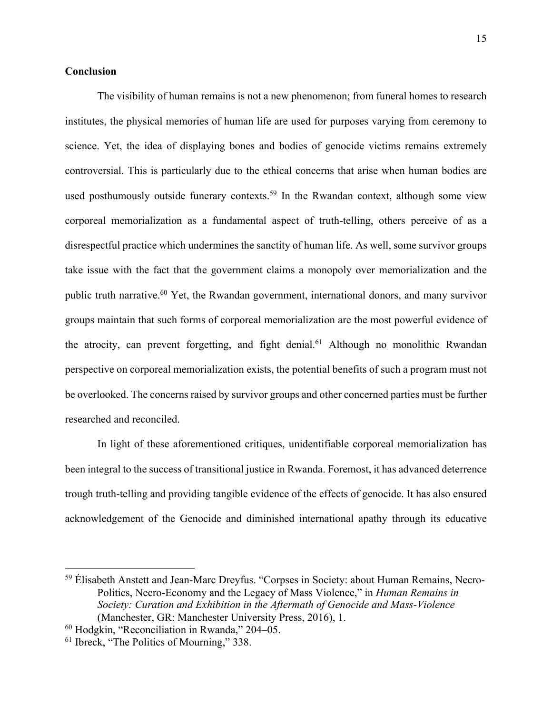### **Conclusion**

The visibility of human remains is not a new phenomenon; from funeral homes to research institutes, the physical memories of human life are used for purposes varying from ceremony to science. Yet, the idea of displaying bones and bodies of genocide victims remains extremely controversial. This is particularly due to the ethical concerns that arise when human bodies are used posthumously outside funerary contexts.<sup>59</sup> In the Rwandan context, although some view corporeal memorialization as a fundamental aspect of truth-telling, others perceive of as a disrespectful practice which undermines the sanctity of human life. As well, some survivor groups take issue with the fact that the government claims a monopoly over memorialization and the public truth narrative.60 Yet, the Rwandan government, international donors, and many survivor groups maintain that such forms of corporeal memorialization are the most powerful evidence of the atrocity, can prevent forgetting, and fight denial.<sup>61</sup> Although no monolithic Rwandan perspective on corporeal memorialization exists, the potential benefits of such a program must not be overlooked. The concerns raised by survivor groups and other concerned parties must be further researched and reconciled.

In light of these aforementioned critiques, unidentifiable corporeal memorialization has been integral to the success of transitional justice in Rwanda. Foremost, it has advanced deterrence trough truth-telling and providing tangible evidence of the effects of genocide. It has also ensured acknowledgement of the Genocide and diminished international apathy through its educative

<sup>59</sup> Élisabeth Anstett and Jean-Marc Dreyfus. "Corpses in Society: about Human Remains, Necro-Politics, Necro-Economy and the Legacy of Mass Violence," in *Human Remains in Society: Curation and Exhibition in the Aftermath of Genocide and Mass-Violence* (Manchester, GR: Manchester University Press, 2016), 1.

<sup>60</sup> Hodgkin, "Reconciliation in Rwanda," 204–05.

<sup>&</sup>lt;sup>61</sup> Ibreck, "The Politics of Mourning," 338.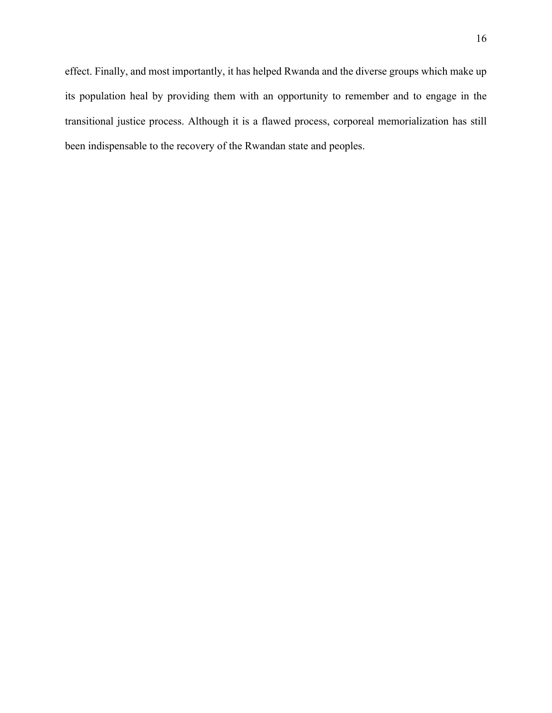effect. Finally, and most importantly, it has helped Rwanda and the diverse groups which make up its population heal by providing them with an opportunity to remember and to engage in the transitional justice process. Although it is a flawed process, corporeal memorialization has still been indispensable to the recovery of the Rwandan state and peoples.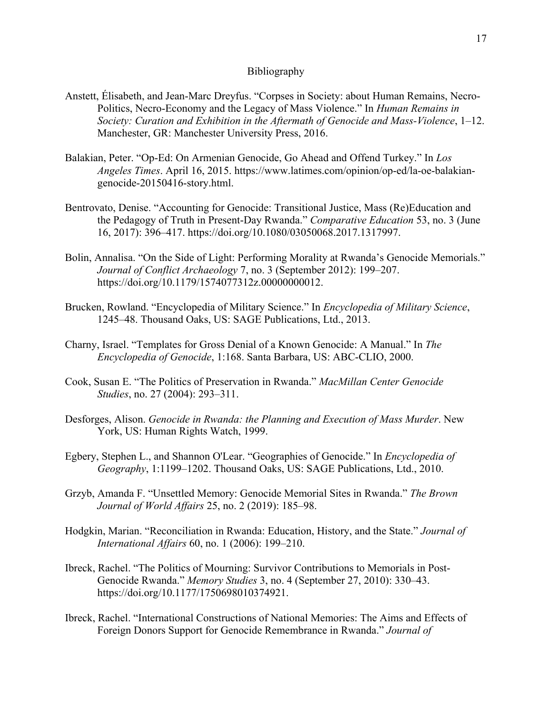#### Bibliography

- Anstett, Élisabeth, and Jean-Marc Dreyfus. "Corpses in Society: about Human Remains, Necro-Politics, Necro-Economy and the Legacy of Mass Violence." In *Human Remains in Society: Curation and Exhibition in the Aftermath of Genocide and Mass-Violence*, 1–12. Manchester, GR: Manchester University Press, 2016.
- Balakian, Peter. "Op-Ed: On Armenian Genocide, Go Ahead and Offend Turkey." In *Los Angeles Times*. April 16, 2015. https://www.latimes.com/opinion/op-ed/la-oe-balakiangenocide-20150416-story.html.
- Bentrovato, Denise. "Accounting for Genocide: Transitional Justice, Mass (Re)Education and the Pedagogy of Truth in Present-Day Rwanda." *Comparative Education* 53, no. 3 (June 16, 2017): 396–417. https://doi.org/10.1080/03050068.2017.1317997.
- Bolin, Annalisa. "On the Side of Light: Performing Morality at Rwanda's Genocide Memorials." *Journal of Conflict Archaeology* 7, no. 3 (September 2012): 199–207. https://doi.org/10.1179/1574077312z.00000000012.
- Brucken, Rowland. "Encyclopedia of Military Science." In *Encyclopedia of Military Science*, 1245–48. Thousand Oaks, US: SAGE Publications, Ltd., 2013.
- Charny, Israel. "Templates for Gross Denial of a Known Genocide: A Manual." In *The Encyclopedia of Genocide*, 1:168. Santa Barbara, US: ABC-CLIO, 2000.
- Cook, Susan E. "The Politics of Preservation in Rwanda." *MacMillan Center Genocide Studies*, no. 27 (2004): 293–311.
- Desforges, Alison. *Genocide in Rwanda: the Planning and Execution of Mass Murder*. New York, US: Human Rights Watch, 1999.
- Egbery, Stephen L., and Shannon O'Lear. "Geographies of Genocide." In *Encyclopedia of Geography*, 1:1199–1202. Thousand Oaks, US: SAGE Publications, Ltd., 2010.
- Grzyb, Amanda F. "Unsettled Memory: Genocide Memorial Sites in Rwanda." *The Brown Journal of World Affairs* 25, no. 2 (2019): 185–98.
- Hodgkin, Marian. "Reconciliation in Rwanda: Education, History, and the State." *Journal of International Affairs* 60, no. 1 (2006): 199–210.
- Ibreck, Rachel. "The Politics of Mourning: Survivor Contributions to Memorials in Post-Genocide Rwanda." *Memory Studies* 3, no. 4 (September 27, 2010): 330–43. https://doi.org/10.1177/1750698010374921.
- Ibreck, Rachel. "International Constructions of National Memories: The Aims and Effects of Foreign Donors Support for Genocide Remembrance in Rwanda." *Journal of*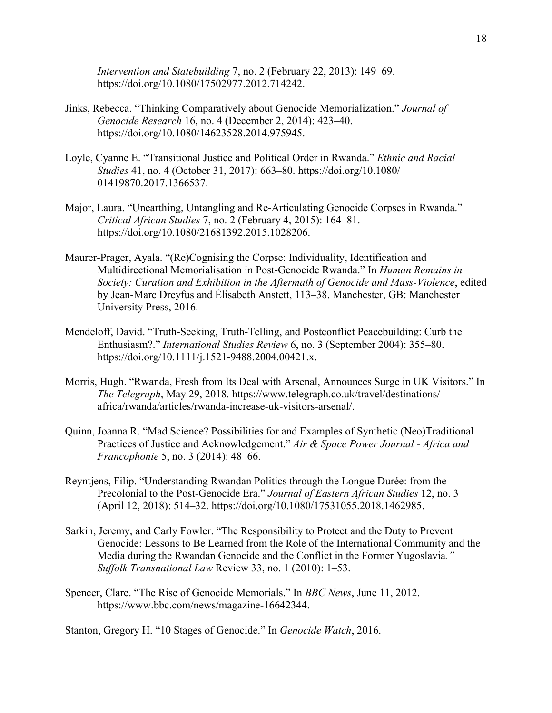*Intervention and Statebuilding* 7, no. 2 (February 22, 2013): 149–69. https://doi.org/10.1080/17502977.2012.714242.

- Jinks, Rebecca. "Thinking Comparatively about Genocide Memorialization." *Journal of Genocide Research* 16, no. 4 (December 2, 2014): 423–40. https://doi.org/10.1080/14623528.2014.975945.
- Loyle, Cyanne E. "Transitional Justice and Political Order in Rwanda." *Ethnic and Racial Studies* 41, no. 4 (October 31, 2017): 663–80. https://doi.org/10.1080/ 01419870.2017.1366537.
- Major, Laura. "Unearthing, Untangling and Re-Articulating Genocide Corpses in Rwanda." *Critical African Studies* 7, no. 2 (February 4, 2015): 164–81. https://doi.org/10.1080/21681392.2015.1028206.
- Maurer-Prager, Ayala. "(Re)Cognising the Corpse: Individuality, Identification and Multidirectional Memorialisation in Post-Genocide Rwanda." In *Human Remains in Society: Curation and Exhibition in the Aftermath of Genocide and Mass-Violence*, edited by Jean-Marc Dreyfus and Élisabeth Anstett, 113–38. Manchester, GB: Manchester University Press, 2016.
- Mendeloff, David. "Truth-Seeking, Truth-Telling, and Postconflict Peacebuilding: Curb the Enthusiasm?." *International Studies Review* 6, no. 3 (September 2004): 355–80. https://doi.org/10.1111/j.1521-9488.2004.00421.x.
- Morris, Hugh. "Rwanda, Fresh from Its Deal with Arsenal, Announces Surge in UK Visitors." In *The Telegraph*, May 29, 2018. https://www.telegraph.co.uk/travel/destinations/ africa/rwanda/articles/rwanda-increase-uk-visitors-arsenal/.
- Quinn, Joanna R. "Mad Science? Possibilities for and Examples of Synthetic (Neo)Traditional Practices of Justice and Acknowledgement." *Air & Space Power Journal - Africa and Francophonie* 5, no. 3 (2014): 48–66.
- Reyntjens, Filip. "Understanding Rwandan Politics through the Longue Durée: from the Precolonial to the Post-Genocide Era." *Journal of Eastern African Studies* 12, no. 3 (April 12, 2018): 514–32. https://doi.org/10.1080/17531055.2018.1462985.
- Sarkin, Jeremy, and Carly Fowler. "The Responsibility to Protect and the Duty to Prevent Genocide: Lessons to Be Learned from the Role of the International Community and the Media during the Rwandan Genocide and the Conflict in the Former Yugoslavia*." Suffolk Transnational Law* Review 33, no. 1 (2010): 1–53.
- Spencer, Clare. "The Rise of Genocide Memorials." In *BBC News*, June 11, 2012. https://www.bbc.com/news/magazine-16642344.

Stanton, Gregory H. "10 Stages of Genocide." In *Genocide Watch*, 2016.